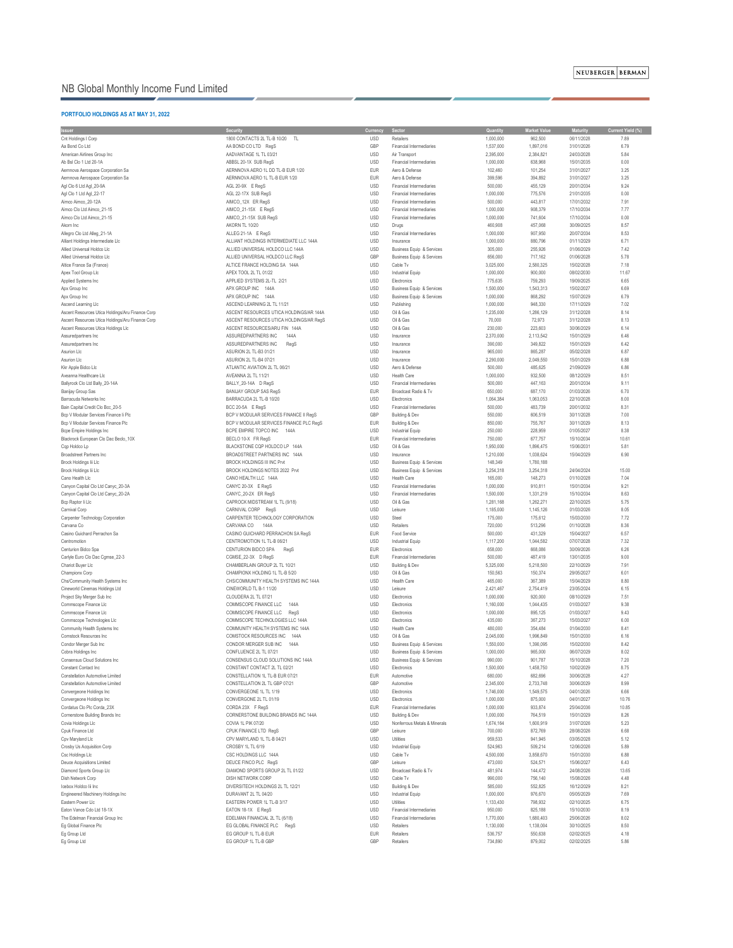### **PORTFOLIO HOLDINGS AS AT MAY 31, 2022**

| <b>Issuer</b>                                    | <b>Security</b>                         | <b>Currency</b> | <b>Sector</b>                        | Quantity  | <b>Market Value</b> | <b>Maturity</b> | <b>Current Yield (%)</b> |
|--------------------------------------------------|-----------------------------------------|-----------------|--------------------------------------|-----------|---------------------|-----------------|--------------------------|
| Cnt Holdings I Corp                              | 1800 CONTACTS 2L TL-B 10/20 TL          | <b>USD</b>      | Retailers                            | 1,000,000 | 962,500             | 06/11/2028      | 7.89                     |
|                                                  |                                         |                 |                                      |           |                     |                 |                          |
| Aa Bond Co Ltd                                   | AA BOND CO LTD RegS                     | GBP             | <b>Financial Intermediaries</b>      | 1,537,000 | 1,897,016           | 31/01/2026      | 6.79                     |
| American Airlines Group Inc                      | AADVANTAGE 1L TL 03/21                  | <b>USD</b>      | Air Transport                        | 2,395,000 | 2,384,821           | 24/03/2028      | 5.84                     |
| Ab Bsl Clo 1 Ltd 20-1A                           | ABBSL 20-1X SUB RegS                    | <b>USD</b>      | <b>Financial Intermediaries</b>      | 1,000,000 | 638,968             | 15/01/2035      | 0.00                     |
| Aernnova Aerospace Corporation Sa                | AERNNOVA AERO 1L DD TL-B EUR 1/20       | <b>EUR</b>      | Aero & Defense                       | 102,460   | 101,254             | 31/01/2027      | 3.25                     |
| Aernnova Aerospace Corporation Sa                | AERNNOVA AERO 1L TL-B EUR 1/20          | <b>EUR</b>      | Aero & Defense                       | 399,596   | 394,892             | 31/01/2027      | 3.25                     |
|                                                  |                                         |                 |                                      |           |                     |                 |                          |
| Agl Clo 6 Ltd Agl_20-9A                          | AGL 20-9X E RegS                        | <b>USD</b>      | Financial Intermediaries             | 500,000   | 455,129             | 20/01/2034      | 9.24                     |
| Agl Clo 1 Ltd Agl_22-17                          | AGL 22-17X SUB RegS                     | <b>USD</b>      | <b>Financial Intermediaries</b>      | 1,000,000 | 775,576             | 21/01/2035      | 0.00                     |
| Aimco Aimco_20-12A                               | AIMCO_12X ER RegS                       | <b>USD</b>      | <b>Financial Intermediaries</b>      | 500,000   | 443,817             | 17/01/2032      | 7.91                     |
| Aimco Clo Ltd Aimco 21-15                        | AIMCO_21-15X E RegS                     | <b>USD</b>      | <b>Financial Intermediaries</b>      | 1,000,000 | 908,379             | 17/10/2034      | 7.77                     |
|                                                  |                                         |                 |                                      |           |                     |                 |                          |
| Aimco Clo Ltd Aimco_21-15                        | AIMCO_21-15X SUB RegS                   | <b>USD</b>      | <b>Financial Intermediaries</b>      | 1,000,000 | 741,604             | 17/10/2034      | 0.00                     |
| Akorn Inc                                        | AKORN TL 10/20                          | <b>USD</b>      | Drugs                                | 460,908   | 457,068             | 30/09/2025      | 8.57                     |
| Allegro Clo Ltd Alleg_21-1A                      | ALLEG 21-1A E RegS                      | <b>USD</b>      | <b>Financial Intermediaries</b>      | 1,000,000 | 907,950             | 20/07/2034      | 8.53                     |
| Alliant Holdings Intermediate Llc                | ALLIANT HOLDINGS INTERMEDIATE LLC 144A  | <b>USD</b>      | Insurance                            | 1,000,000 | 880,796             | 01/11/2029      | 6.71                     |
|                                                  |                                         |                 |                                      |           |                     |                 |                          |
| Allied Universal Holdco Llc                      | ALLIED UNIVERSAL HOLDCO LLC 144A        | <b>USD</b>      | <b>Business Equip &amp; Services</b> | 305,000   | 255,926             | 01/06/2029      | 7.42                     |
| Allied Universal Holdco Llc                      | ALLIED UNIVERSAL HOLDCO LLC RegS        | GBP             | <b>Business Equip &amp; Services</b> | 656,000   | 717,162             | 01/06/2028      | 5.78                     |
| Altice France Sa (France)                        | ALTICE FRANCE HOLDING SA 144A           | <b>USD</b>      | Cable Tv                             | 3,025,000 | 2,580,325           | 15/02/2028      | 7.18                     |
| Apex Tool Group Llc                              | APEX TOOL 2L TL 01/22                   | <b>USD</b>      | <b>Industrial Equip</b>              | 1,000,000 | 900,000             | 08/02/2030      | 11.67                    |
|                                                  |                                         |                 |                                      |           |                     |                 |                          |
| Applied Systems Inc                              | APPLIED SYSTEMS 2L-TL 2/21              | <b>USD</b>      | Electronics                          | 775,635   | 759,293             | 19/09/2025      | 6.65                     |
| Apx Group Inc                                    | APX GROUP INC 144A                      | <b>USD</b>      | <b>Business Equip &amp; Services</b> | 1,500,000 | 1,543,313           | 15/02/2027      | 6.69                     |
| Apx Group Inc                                    | APX GROUP INC 144A                      | <b>USD</b>      | <b>Business Equip &amp; Services</b> | 1,000,000 | 868,292             | 15/07/2029      | 6.79                     |
| Ascend Learning Llc                              | ASCEND LEARNING 2L TL 11/21             | <b>USD</b>      | Publishing                           | 1,000,000 | 948,330             | 17/11/2029      | 7.02                     |
|                                                  |                                         |                 |                                      |           |                     |                 |                          |
| Ascent Resources Utica Holdings/Aru Finance Corp | ASCENT RESOURCES UTICA HOLDINGS/AR 144A | <b>USD</b>      | Oil & Gas                            | 1,235,000 | 1,286,129           | 31/12/2028      | 8.14                     |
| Ascent Resources Utica Holdings/Aru Finance Corp | ASCENT RESOURCES UTICA HOLDINGS/AR RegS | <b>USD</b>      | Oil & Gas                            | 70,000    | 72,973              | 31/12/2028      | 8.13                     |
| Ascent Resources Utica Holdings Llc              | ASCENT RESOURCES/ARU FIN 144A           | <b>USD</b>      | Oil & Gas                            | 230,000   | 223,603             | 30/06/2029      | 6.14                     |
|                                                  | ASSUREDPARTNERS INC<br>144A             | <b>USD</b>      | Insurance                            | 2,370,000 | 2,113,542           | 15/01/2029      | 6.46                     |
| Assuredpartners Inc                              |                                         |                 |                                      |           |                     |                 |                          |
| Assuredpartners Inc                              | ASSUREDPARTNERS INC<br>RegS             | <b>USD</b>      | Insurance                            | 390,000   | 349,822             | 15/01/2029      | 6.42                     |
| Asurion Llc                                      | ASURION 2L TL-B3 01/21                  | <b>USD</b>      | Insurance                            | 965,000   | 865,287             | 05/02/2028      | 6.87                     |
| Asurion Llc                                      | ASURION 2L TL-B4 07/21                  | <b>USD</b>      | Insurance                            | 2,290,000 | 2,049,550           | 15/01/2029      | 6.88                     |
| Kkr Apple Bidco Llc                              | ATLANTIC AVIATION 2L TL 06/21           | <b>USD</b>      | Aero & Defense                       | 500,000   | 485,625             | 21/09/2029      | 6.86                     |
|                                                  |                                         |                 |                                      |           |                     |                 |                          |
| Aveanna Healthcare Llc                           | AVEANNA 2L TL 11/21                     | <b>USD</b>      | <b>Health Care</b>                   | 1,000,000 | 932,500             | 08/12/2029      | 8.51                     |
| Ballyrock Clo Ltd Bally_20-14A                   | BALLY_20-14A D RegS                     | <b>USD</b>      | <b>Financial Intermediaries</b>      | 500,000   | 447,163             | 20/01/2034      | 9.11                     |
| <b>Banijay Group Sas</b>                         | <b>BANIJAY GROUP SAS RegS</b>           | <b>EUR</b>      | Broadcast Radio & Tv                 | 650,000   | 687,170             | 01/03/2026      | 6.70                     |
|                                                  |                                         |                 |                                      |           |                     |                 | 8.00                     |
| Barracuda Networks Inc                           | BARRACUDA 2L TL-B 10/20                 | <b>USD</b>      | Electronics                          | 1,064,384 | 1,063,053           | 22/10/2028      |                          |
| Bain Capital Credit Clo Bcc_20-5                 | BCC 20-5A E RegS                        | <b>USD</b>      | <b>Financial Intermediaries</b>      | 500,000   | 483,739             | 20/01/2032      | 8.31                     |
| Bcp V Modular Services Finance li Plc            | BCP V MODULAR SERVICES FINANCE II RegS  | GBP             | Building & Dev                       | 550,000   | 606,519             | 30/11/2028      | 7.00                     |
| Bcp V Modular Services Finance Plc               | BCP V MODULAR SERVICES FINANCE PLC RegS | <b>EUR</b>      | Building & Dev                       | 850,000   | 755,767             | 30/11/2029      | 8.13                     |
| <b>Bcpe Empire Holdings Inc</b>                  | BCPE EMPIRE TOPCO INC 144A              | <b>USD</b>      | <b>Industrial Equip</b>              | 250,000   | 228,959             | 01/05/2027      | 8.38                     |
|                                                  |                                         |                 |                                      |           |                     |                 |                          |
| Blackrock European Clo Dac Beclo_10X             | BECLO 10-X FR RegS                      | <b>EUR</b>      | <b>Financial Intermediaries</b>      | 750,000   | 677,757             | 15/10/2034      | 10.61                    |
| Cqp Holdco Lp                                    | BLACKSTONE CQP HOLDCO LP 144A           | <b>USD</b>      | Oil & Gas                            | 1,950,000 | 1,896,475           | 15/06/2031      | 5.81                     |
| <b>Broadstreet Partners Inc.</b>                 | BROADSTREET PARTNERS INC 144A           | <b>USD</b>      | Insurance                            | 1,210,000 | 1,038,624           | 15/04/2029      | 6.90                     |
| Brock Holdings lii Llc                           | <b>BROCK HOLDINGS III INC Prvt</b>      | <b>USD</b>      | <b>Business Equip &amp; Services</b> | 148,349   | 1,780,188           |                 |                          |
|                                                  |                                         |                 |                                      |           |                     |                 |                          |
| Brock Holdings lii Llc                           | BROCK HOLDINGS NOTES 2022 Prvt          | <b>USD</b>      | <b>Business Equip &amp; Services</b> | 3,254,318 | 3,254,318           | 24/04/2024      | 15.00                    |
| Cano Health Llc                                  | CANO HEALTH LLC 144A                    | <b>USD</b>      | <b>Health Care</b>                   | 165,000   | 148,273             | 01/10/2028      | 7.04                     |
| Canyon Capital Clo Ltd Canyc_20-3A               | CANYC 20-3X E RegS                      | <b>USD</b>      | Financial Intermediaries             | 1,000,000 | 910,811             | 15/01/2034      | 9.21                     |
|                                                  | CANYC_20-2X ER RegS                     | <b>USD</b>      | <b>Financial Intermediaries</b>      | 1,500,000 | 1,331,219           | 15/10/2034      | 8.63                     |
| Canyon Capital Clo Ltd Canyc_20-2A               |                                         |                 |                                      |           |                     |                 |                          |
| Bcp Raptor Ii Llc                                | CAPROCK MIDSTREAM 1L TL (9/18)          | <b>USD</b>      | Oil & Gas                            | 1,281,168 | 1,262,271           | 22/10/2025      | 5.75                     |
| Carnival Corp                                    | CARNIVAL CORP RegS                      | <b>USD</b>      | Leisure                              | 1,185,000 | 1,145,126           | 01/03/2026      | 8.05                     |
| Carpenter Technology Corporation                 | CARPENTER TECHNOLOGY CORPORATION        | <b>USD</b>      | Steel                                | 175,000   | 175,612             | 15/03/2030      | 7.72                     |
| Carvana Co                                       | CARVANA CO<br>144A                      | <b>USD</b>      | Retailers                            | 720,000   | 513,296             | 01/10/2028      | 8.36                     |
|                                                  |                                         |                 |                                      |           |                     |                 |                          |
| Casino Guichard Perrachon Sa                     | CASINO GUICHARD PERRACHON SA RegS       | <b>EUR</b>      | Food Service                         | 500,000   | 431,329             | 15/04/2027      | 6.57                     |
| Centromotion                                     | CENTROMOTION 1L TL-B 06/21              | <b>USD</b>      | <b>Industrial Equip</b>              | 1,117,200 | 1,044,582           | 07/07/2028      | 7.32                     |
| Centurion Bidco Spa                              | CENTURION BIDCO SPA<br>RegS             | <b>EUR</b>      | Electronics                          | 658,000   | 668,086             | 30/09/2026      | 6.26                     |
| Carlyle Euro Clo Dac Cgmse_22-3                  | CGMSE_22-3X D RegS                      | <b>EUR</b>      | <b>Financial Intermediaries</b>      | 500,000   | 487,419             | 13/01/2035      | 9.00                     |
|                                                  |                                         |                 |                                      |           |                     |                 |                          |
| Chariot Buyer Llc                                | CHAMBERLAIN GROUP 2L TL 10/21           | <b>USD</b>      | Building & Dev                       | 5,325,000 | 5,218,500           | 22/10/2029      | 7.91                     |
| <b>Championx Corp</b>                            | CHAMPIONX HOLDING 1L TL-B 5/20          | <b>USD</b>      | Oil & Gas                            | 150,563   | 150,374             | 29/05/2027      | 6.01                     |
| Chs/Community Health Systems Inc                 | CHS/COMMUNITY HEALTH SYSTEMS INC 144A   | <b>USD</b>      | <b>Health Care</b>                   | 465,000   | 367,389             | 15/04/2029      | 8.80                     |
| Cineworld Cinemas Holdings Ltd                   | CINEWORLD TL B-1 11/20                  | <b>USD</b>      | Leisure                              | 2,421,467 | 2,754,419           | 23/05/2024      | 6.15                     |
|                                                  |                                         |                 |                                      |           |                     |                 |                          |
| Project Sky Merger Sub Inc                       | CLOUDERA 2L TL 07/21                    | <b>USD</b>      | Electronics                          | 1,000,000 | 920,000             | 08/10/2029      | 7.51                     |
| Commscope Finance Llc                            | COMMSCOPE FINANCE LLC<br>144A           | <b>USD</b>      | Electronics                          | 1,160,000 | 1,044,435           | 01/03/2027      | 9.38                     |
| Commscope Finance Llc                            | COMMSCOPE FINANCE LLC<br>RegS           | <b>USD</b>      | Electronics                          | 1,000,000 | 895,125             | 01/03/2027      | 9.43                     |
| Commscope Technologies Llc                       | COMMSCOPE TECHNOLOGIES LLC 144A         | <b>USD</b>      | Electronics                          | 435,000   | 367,273             | 15/03/2027      | 6.00                     |
| Community Health Systems Inc                     | COMMUNITY HEALTH SYSTEMS INC 144A       | <b>USD</b>      | <b>Health Care</b>                   | 480,000   |                     | 01/04/2030      | 8.41                     |
|                                                  |                                         |                 |                                      |           | 354,484             |                 |                          |
| <b>Comstock Resources Inc.</b>                   | COMSTOCK RESOURCES INC<br>144A          | <b>USD</b>      | Oil & Gas                            | 2,045,000 | 1,996,849           | 15/01/2030      | 6.16                     |
| Condor Merger Sub Inc                            | CONDOR MERGER SUB INC<br>144A           | <b>USD</b>      | <b>Business Equip &amp; Services</b> | 1,550,000 | 1,390,095           | 15/02/2030      | 8.42                     |
| Cobra Holdings Inc                               | CONFLUENCE 2L TL 07/21                  | <b>USD</b>      | <b>Business Equip &amp; Services</b> | 1,000,000 | 965,000             | 06/07/2029      | 8.02                     |
| <b>Consensus Cloud Solutions Inc</b>             | CONSENSUS CLOUD SOLUTIONS INC 144A      | <b>USD</b>      | <b>Business Equip &amp; Services</b> | 990,000   | 901,787             | 15/10/2028      | 7.20                     |
|                                                  |                                         |                 |                                      |           |                     |                 |                          |
| <b>Constant Contact Inc</b>                      | CONSTANT CONTACT 2L TL 02/21            | <b>USD</b>      | Electronics                          | 1,500,000 | 1,458,750           | 10/02/2029      | 8.75                     |
| <b>Constellation Automotive Limited</b>          | CONSTELLATION 1L TL-B EUR 07/21         | <b>EUR</b>      | Automotive                           | 680,000   | 682,696             | 30/06/2028      | 4.27                     |
| <b>Constellation Automotive Limited</b>          | CONSTELLATION 2L TL GBP 07/21           | GBP             | Automotive                           | 2,345,000 | 2,733,748           | 30/06/2029      | 8.99                     |
| Convergeone Holdings Inc                         | CONVERGEONE 1L TL 1/19                  | <b>USD</b>      | Electronics                          | 1,746,000 | 1,549,575           | 04/01/2026      | 6.66                     |
|                                                  |                                         |                 |                                      |           |                     |                 |                          |
| Convergeone Holdings Inc                         | CONVERGONE 2L TL 01/19                  | <b>USD</b>      | Electronics                          | 1,000,000 | 875,000             | 04/01/2027      | 10.76                    |
| Cordatus Clo Plc Corda_23X                       | CORDA 23X F RegS                        | <b>EUR</b>      | <b>Financial Intermediaries</b>      | 1,000,000 | 933,874             | 25/04/2036      | 10.85                    |
| Cornerstone Building Brands Inc                  | CORNERSTONE BUILDING BRANDS INC 144A    | <b>USD</b>      | Building & Dev                       | 1,000,000 | 764,519             | 15/01/2029      | 8.26                     |
| Covia Holdings Llc                               | COVIA 1L PIK 07/20                      | <b>USD</b>      | Nonferrous Metals & Minerals         | 1,674,164 | 1,600,919           | 31/07/2026      | 5.23                     |
|                                                  |                                         |                 |                                      |           |                     |                 |                          |
| Cpuk Finance Ltd                                 | CPUK FINANCE LTD RegS                   | GBP             | Leisure                              | 700,000   | 872,769             | 28/08/2026      | 6.68                     |
| Cpv Maryland Llc                                 | CPV MARYLAND 1L TL-B 04/21              | <b>USD</b>      | Utilities                            | 959,533   | 941,945             | 03/05/2028      | 5.12                     |
| Crosby Us Acquisition Corp                       | CROSBY 1L TL 6/19                       | <b>USD</b>      | <b>Industrial Equip</b>              | 524,963   | 509,214             | 12/06/2026      | 5.89                     |
| Csc Holdings Llc                                 | CSC HOLDINGS LLC 144A                   | <b>USD</b>      | Cable Tv                             | 4,500,000 | 3,858,670           | 15/01/2030      | 6.88                     |
|                                                  |                                         |                 |                                      |           |                     |                 |                          |
| Deuce Acquisitions Limited                       | DEUCE FINCO PLC RegS                    | GBP             | Leisure                              | 473,000   | 524,571             | 15/06/2027      | 6.43                     |
| Diamond Sports Group Llc                         | DIAMOND SPORTS GROUP 2L TL 01/22        | <b>USD</b>      | Broadcast Radio & Tv                 | 481,974   | 144,472             | 24/08/2026      | 13.65                    |
| Dish Network Corp                                | DISH NETWORK CORP                       | <b>USD</b>      | Cable Tv                             | 990,000   | 756,140             | 15/08/2026      | 4.48                     |
| Icebox Holdco lii Inc                            | DIVERSITECH HOLDINGS 2L TL 12/21        | <b>USD</b>      | Building & Dev                       | 585,000   | 552,825             | 16/12/2029      | 8.21                     |
|                                                  |                                         |                 |                                      |           |                     |                 |                          |
| Engineered Machinery Holdings Inc                | DURAVANT 2L TL 04/20                    | <b>USD</b>      | <b>Industrial Equip</b>              | 1,000,000 | 976,670             | 05/05/2029      | 7.69                     |
| Eastern Power Llc                                | EASTERN POWER 1L TL-B 3/17              | <b>USD</b>      | Utilities                            | 1,133,430 | 798,932             | 02/10/2025      | 6.75                     |
| Eaton Vance Cdo Ltd 18-1X                        | EATON 18-1X E RegS                      | <b>USD</b>      | <b>Financial Intermediaries</b>      | 950,000   | 825,188             | 15/10/2030      | 8.19                     |
|                                                  |                                         |                 | <b>Financial Intermediaries</b>      |           |                     |                 | 8.02                     |
| The Edelman Financial Group Inc                  | EDELMAN FINANCIAL 2L TL (6/18)          | <b>USD</b>      |                                      | 1,770,000 | 1,680,403           | 25/06/2026      |                          |
| Eg Global Finance Plc                            | EG GLOBAL FINANCE PLC<br>RegS           | <b>USD</b>      | Retailers                            | 1,130,000 | 1,138,004           | 30/10/2025      | 8.50                     |
| Eg Group Ltd                                     | EG GROUP 1L TL-B EUR                    | <b>EUR</b>      | Retailers                            | 536,757   | 550,638             | 02/02/2025      | 4.18                     |
| Eg Group Ltd                                     | EG GROUP 1L TL-B GBP                    | GBP             | Retailers                            | 734,890   | 879,002             | 02/02/2025      | 5.86                     |

# NB Global Monthly Income Fund Limited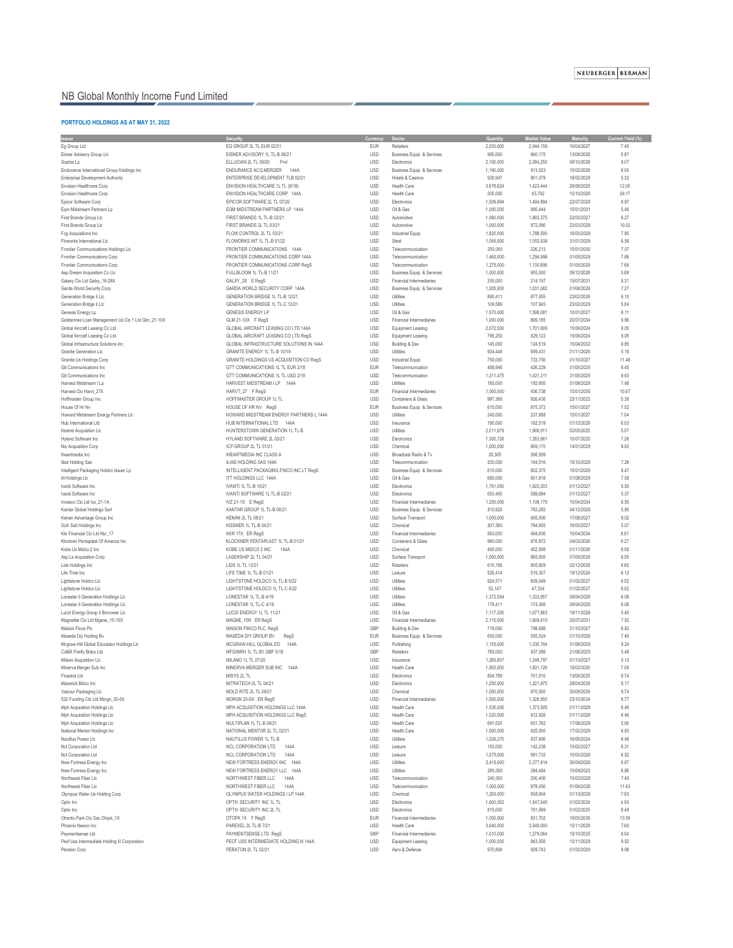### NEUBERGER BERMAN

## NB Global Monthly Income Fund Limited

### **PORTFOLIO HOLDINGS AS AT MAY 31, 2022**

| <b>Issuer</b>                                      | <b>Security</b>                            | Currency   | <b>Sector</b>                        | Quantity  | <b>Market Value</b> | <b>Maturity</b> | <b>Current Yield (%)</b> |
|----------------------------------------------------|--------------------------------------------|------------|--------------------------------------|-----------|---------------------|-----------------|--------------------------|
| Eg Group Ltd                                       | EG GROUP 2L TL EUR 02/21                   | <b>EUR</b> | Retailers                            | 2,030,000 | 2,044,159           | 10/04/2027      | 7.45                     |
| Eisner Advisory Group Llc                          | EISNER ADVISORY 1L TL-B 08/21              | <b>USD</b> | <b>Business Equip &amp; Services</b> | 995,000   | 960,175             | 13/08/2028      | 5.87                     |
| Sophia Lp                                          | ELLUCIAN 2L TL 09/20<br>Prvt               | <b>USD</b> | Electronics                          | 2,100,000 | 2,084,250           | 06/10/2028      | 9.07                     |
| Endurance International Group Holdings Inc         | <b>ENDURANCE ACQ MERGER</b><br>144A        | <b>USD</b> | <b>Business Equip &amp; Services</b> | 1,190,000 | 913,523             | 15/02/2029      | 8.00                     |
| <b>Enterprise Development Authority</b>            | ENTERPRISE DEVELOPMENT TLB 02/21           | <b>USD</b> | Hotels & Casinos                     | 928,947   | 901,079             | 18/02/2028      | 5.32                     |
| <b>Envision Healthcare Corp</b>                    | ENVISION HEALTHCARE 1L TL (9/18)           | <b>USD</b> | <b>Health Care</b>                   | 3,678,624 | 1,423,444           | 28/09/2025      | 12.05                    |
| <b>Envision Healthcare Corp</b>                    | ENVISION HEALTHCARE CORP 144A              | <b>USD</b> | <b>Health Care</b>                   | 205,000   | 63,792              | 15/10/2026      | 29.17                    |
| Epicor Software Corp                               | EPICOR SOFTWARE 2L TL 07/20                | <b>USD</b> | Electronics                          | 1,509,994 | 1,494,894           | 22/07/2028      | 8.87                     |
| Eqm Midstream Partners Lp                          | EQM MIDSTREAM PARTNERS LP 144A             | <b>USD</b> | Oil & Gas                            | 1,000,000 | 885,444             | 15/01/2031      | 5.48                     |
| First Brands Group Llc                             | FIRST BRANDS 1L TL-B 03/21                 | <b>USD</b> | Automotive                           | 1,980,000 | 1,893,375           | 22/03/2027      | 6.27                     |
| First Brands Group Llc                             | FIRST BRANDS 2L TL 03/21                   | <b>USD</b> | Automotive                           | 1,000,000 | 972,080             | 22/03/2028      | 10.02                    |
| Fcg Acquisitions Inc                               | FLOW CONTROL 2L TL 03/21                   | <b>USD</b> | <b>Industrial Equip</b>              | 1,825,000 | 1,788,500           | 16/03/2029      | 7.80                     |
| Floworks International Llc                         | FLOWORKS INT 1L TL-B 01/22                 | <b>USD</b> | Steel                                | 1,095,000 | 1,053,938           | 31/01/2029      | 6.59                     |
| Frontier Communications Holdings Llc               | FRONTIER COMMUNICATIONS 144A               | <b>USD</b> | Telecommunication                    | 255,000   | 226,213             | 15/01/2030      | 7.07                     |
| Frontier Communications Corp                       | FRONTIER COMMUNICATIONS CORP 144A          | <b>USD</b> | Telecommunication                    | 1,460,000 | 1,294,998           | 01/05/2029      | 7.66                     |
| <b>Frontier Communications Corp</b>                | FRONTIER COMMUNICATIONS CORP RegS          | <b>USD</b> | Telecommunication                    | 1,275,000 | 1,130,906           | 01/05/2029      | 7.66                     |
| Asp Dream Acquisition Co Llc                       | FULLBLOOM 1L TL-B 11/21                    | <b>USD</b> | <b>Business Equip &amp; Services</b> | 1,000,000 | 955,000             | 09/12/2028      | 5.68                     |
| Galaxy Clo Ltd Galxy_18-28X                        | GALXY_28 E RegS                            | <b>USD</b> | <b>Financial Intermediaries</b>      | 250,000   | 214,197             | 15/07/2031      | 8.31                     |
| Garda World Security Corp                          | GARDA WORLD SECURITY CORP 144A             | <b>USD</b> | <b>Business Equip &amp; Services</b> | 1,205,000 | 1,031,082           | 01/06/2029      | 7.27                     |
| Generation Bridge li Llc                           | <b>GENERATION BRIDGE 1L TL-B 12/21</b>     | <b>USD</b> | Utilities                            | 890,411   | 877,055             | 23/02/2029      | 6.10                     |
| Generation Bridge li Llc                           | GENERATION BRIDGE 1L TL-C 12/21            | <b>USD</b> | Utilities                            | 109,589   | 107,945             | 23/02/2029      | 5.84                     |
| Genesis Energy Lp                                  | <b>GENESIS ENERGY LP</b>                   | <b>USD</b> | Oil & Gas                            | 1,570,000 | 1,596,081           | 15/01/2027      | 8.11                     |
| Goldentree Loan Management Us Clo 1 Ltd Glm_21-10X | GLM 21-10X F RegS                          | <b>USD</b> | <b>Financial Intermediaries</b>      | 1,000,000 | 899,185             | 20/07/2034      | 9.96                     |
| Global Aircraft Leasing Co Ltd                     | <b>GLOBAL AIRCRAFT LEASING CO LTD 144A</b> | <b>USD</b> | <b>Equipment Leasing</b>             | 2,072,500 | 1,701,609           | 15/09/2024      | 8.05                     |
| Global Aircraft Leasing Co Ltd                     | GLOBAL AIRCRAFT LEASING CO LTD RegS        | <b>USD</b> | <b>Equipment Leasing</b>             | 766,250   | 629,123             | 15/09/2024      | 8.05                     |
| Global Infrastructure Solutions Inc                | GLOBAL INFRASTRUCTURE SOLUTIONS IN 144A    | <b>USD</b> | Building & Dev                       | 145,000   | 124,519             | 15/04/2032      | 8.85                     |
| <b>Granite Generation Llc</b>                      | GRANITE ENERGY 1L TL-B 10/19               | <b>USD</b> | <b>Utilities</b>                     | 934,448   | 859,431             | 01/11/2026      | 5.19                     |
| Granite Us Holdings Corp                           | GRANITE HOLDINGS US ACQUISITION CO RegS    | <b>USD</b> | <b>Industrial Equip</b>              | 750,000   | 733,750             | 01/10/2027      | 11.46                    |
| <b>Gtt Communications Inc</b>                      | GTT COMMUNICATIONS 1L TL EUR 2/18          | <b>EUR</b> | Telecommunication                    | 488,946   | 426,229             | 31/05/2025      | 6.45                     |
| <b>Gtt Communications Inc.</b>                     | GTT COMMUNICATIONS 1L TL USD 2/18          | <b>USD</b> | Telecommunication                    | 1,311,475 | 1,021,311           | 31/05/2025      | 9.63                     |
| Harvest Midstream I Lp                             | HARVEST MIDSTREAM I LP 144A                | <b>USD</b> | Utilities                            | 180,000   | 183,955             | 01/09/2028      | 7.48                     |
| Harvest Clo Harvt_27X                              | HARVT_27 F RegS                            | <b>EUR</b> | <b>Financial Intermediaries</b>      | 1,000,000 | 936,738             | 15/01/2035      | 10.67                    |
| Hoffmaster Group Inc                               | HOFFMASTER GROUP 1L TL                     | <b>USD</b> | <b>Containers &amp; Glass</b>        | 997,368   | 926,436             | 23/11/2023      | 5.39                     |
| House Of Hr Nv                                     | HOUSE OF HR NV RegS                        | <b>EUR</b> | <b>Business Equip &amp; Services</b> | 615,000   | 675,372             | 15/01/2027      | 7.52                     |
| Howard Midstream Energy Partners Llc               | HOWARD MIDSTREAM ENERGY PARTNERS L 144A    | <b>USD</b> | Utilities                            | 240,000   | 237,688             | 15/01/2027      | 7.04                     |
| Hub International Ltd                              | HUB INTERNATIONAL LTD 144A                 | <b>USD</b> | Insurance                            | 190,000   | 182,519             | 01/12/2029      | 6.03                     |
| <b>Kestrel Acquisition Llc</b>                     | HUNTERSTOWN GENERATION 1L TL-B             | <b>USD</b> | Utilities                            | 2,011,679 | 1,906,911           | 02/05/2025      | 5.57                     |
| Hyland Software Inc                                | HYLAND SOFTWARE 2L 03/21                   | <b>USD</b> | Electronics                          | 1,300,726 | 1,283,661           | 10/07/2025      | 7.26                     |
| Nic Acquisition Corp                               | ICP GROUP 2L TL 01/21                      | <b>USD</b> | Chemical                             | 1,000,000 | 909,170             | 14/01/2029      | 9.63                     |
| Iheartmedia Inc                                    | <b>IHEARTMEDIA INC CLASS A</b>             | <b>USD</b> | Broadcast Radio & Tv                 | 25,305    | 298,599             |                 |                          |
| <b>Iliad Holding Sas</b>                           | ILIAD HOLDING SAS 144A                     | <b>USD</b> | Telecommunication                    | 200,000   | 194,516             | 15/10/2028      | 7.26                     |
|                                                    |                                            |            |                                      | 610,000   | 602,375             |                 | 9.47                     |
| Intelligent Packaging Holdco Issuer Lp             | INTELLIGENT PACKAGING FINCO INC LT RegS    | <b>USD</b> | <b>Business Equip &amp; Services</b> |           |                     | 15/01/2026      | 7.59                     |
| Itt Holdings Llc                                   | ITT HOLDINGS LLC 144A                      | <b>USD</b> | Oil & Gas                            | 685,000   | 601,818             | 01/08/2029      |                          |
| Ivanti Software Inc                                | IVANTI 1L TL-B 10/21                       | <b>USD</b> | Electronics                          | 1,781,050 | 1,620,203           | 01/12/2027      | 5.50                     |
| Ivanti Software Inc                                | IVANTI SOFTWARE 1L TL-B 02/21              | <b>USD</b> | Electronics                          | 653,400   | 589,694             | 01/12/2027      | 5.37                     |
| Invesco Clo Ltd Ivz 21-1A                          | IVZ $21-1X$ E RegS                         | <b>USD</b> | <b>Financial Intermediaries</b>      | 1,250,000 | 1,109,179           | 15/04/2034      | 8.55                     |
| Kantar Global Holdings Sarl                        | KANTAR GROUP 1L TL-B 06/21                 | <b>USD</b> | <b>Business Equip &amp; Services</b> | 810,925   | 763,283             | 04/12/2026      | 5.85                     |
| Kenan Advantage Group Inc                          | <b>KENAN 2L TL 08/21</b>                   | <b>USD</b> | Surface Transport                    | 1,000,000 | 905,000             | 17/08/2027      | 9.02                     |
| Scih Salt Holdings Inc                             | KISSNER 1L TL-B 04/21                      | <b>USD</b> | Chemical                             | 837,560   | 784,693             | 16/03/2027      | 5.07                     |
| Kkr Financial Clo Ltd Kkr_17                       | KKR 17X ER RegS                            | <b>USD</b> | <b>Financial Intermediaries</b>      | 500,000   | 494,936             | 15/04/2034      | 8.61                     |
| Klockner Pentaplast Of America Inc                 | KLOCKNER PENTAPLAST 1L TL-B 01/21          | <b>USD</b> | <b>Containers &amp; Glass</b>        | 990,000   | 876,972             | 04/02/2026      | 6.27                     |
| Kobe Us Midco 2 Inc                                | KOBE US MIDCO 2 INC<br>144A                | <b>USD</b> | Chemical                             | 465,000   | 452,598             | 01/11/2026      | 9.58                     |
| Asp Ls Acquisition Corp                            | LASERSHIP 2L TL 04/21                      | <b>USD</b> | Surface Transport                    | 1,000,000 | 965,000             | 07/05/2029      | 8.55                     |
| Lids Holdings Inc                                  | LIDS 1L TL 12/21                           | <b>USD</b> | Retailers                            | 615,156   | 605,929             | 02/12/2028      | 6.60                     |
| Life Time Inc                                      | LIFE TIME 1L TL-B 01/21                    | <b>USD</b> | Leisure                              | 526,414   | 519,307             | 19/12/2024      | 6.12                     |
| Lightstone Holdco Llc                              | LIGHTSTONE HOLDCO 1L TL-B 5/22             | <b>USD</b> | Utilities                            | 924,571   | 839,049             | 01/02/2027      | 6.52                     |
| Lightstone Holdco Llc                              | LIGHTSTONE HOLDCO 1L TL-C 5/22             | <b>USD</b> | Utilities                            | 52,147    | 47,324              | 01/02/2027      | 6.52                     |
| Lonestar Ii Generation Holdings Llc                | LONESTAR 1L TL-B 4/19                      | <b>USD</b> | <b>Utilities</b>                     | 1,372,554 | 1,333,957           | 09/04/2026      | 6.08                     |
| Lonestar li Generation Holdings Llc                | LONESTAR 1L TL-C 4/19                      | <b>USD</b> | Utilities                            | 179,411   | 174,366             | 09/04/2026      | 6.08                     |
| Lucid Energy Group Ii Borrower Llc                 | LUCID ENERGY 1L TL 11/21                   | <b>USD</b> | Oil & Gas                            | 1,117,200 | 1,077,863           | 19/11/2028      | 5.45                     |
| Magnetite Clo Ltd Mgane_15-15X                     | MAGNE_15R ER RegS                          | <b>USD</b> | <b>Financial Intermediaries</b>      | 2,115,000 | 1,809,810           | 25/07/2031      | 7.52                     |
| Maison Finco Plc                                   | MAISON FINCO PLC RegS                      | <b>GBP</b> | Building & Dev                       | 716,000   | 798,688             | 31/10/2027      | 6.82                     |
| Maxeda Diy Holding Bv                              | MAXEDA DIY GROUP BV<br>RegS                | <b>EUR</b> | <b>Business Equip &amp; Services</b> | 650,000   | 555,524             | 01/10/2026      | 7.45                     |
| Mcgraw-Hill Global Education Holdings Llc          | MCGRAW-HILL GLOBAL ED<br>144A              | <b>USD</b> | Publishing                           | 1,155,000 | 1,030,764           | 01/08/2029      | 9.24                     |
| Cd&R Firefly Bidco Ltd                             | MFG/MRH 1L TL-B1 GBP 5/18                  | <b>GBP</b> | Retailers                            | 785,000   | 937,089             | 21/06/2025      | 5.48                     |
| Milano Acquisition Llc                             | MILANO 1L TL 07/20                         | <b>USD</b> | Insurance                            | 1,280,807 | 1,248,787           | 01/10/2027      | 5.13                     |
| Minerva Merger Sub Inc                             | MINERVA MERGER SUB INC<br>144A             | <b>USD</b> | <b>Health Care</b>                   | 1,955,000 | 1,831,129           | 15/02/2030      | 7.08                     |
| Finastra Ltd                                       | MISYS 2L TL                                | <b>USD</b> | Electronics                          | 804,789   | 701,510             | 13/06/2025      | 9.74                     |
| Maverick Bidco Inc                                 | MITRATECH 2L TL 04/21                      | <b>USD</b> | Electronics                          | 1,250,000 | 1,221,875           | 28/04/2029      | 8.17                     |
| Valcour Packaging Llc                              | MOLD RITE 2L TL 09/21                      | <b>USD</b> | Chemical                             | 1,000,000 | 870,000             | 30/09/2029      | 9.74                     |
| 522 Funding Clo Ltd Morgn_20-6X                    | MORGN 20-6X ER RegS                        | <b>USD</b> | <b>Financial Intermediaries</b>      | 1,500,000 | 1,326,550           | 23/10/2034      | 8.77                     |
| Mph Acquisition Holdings Llc                       | MPH ACQUISITION HOLDINGS LLC 144A          | <b>USD</b> | <b>Health Care</b>                   | 1,535,000 | 1,373,505           | 01/11/2028      | 6.46                     |
| Mph Acquisition Holdings Llc                       | MPH ACQUISITION HOLDINGS LLC RegS          | <b>USD</b> | <b>Health Care</b>                   | 1,020,000 | 912,926             | 01/11/2028      | 6.46                     |
| Mph Acquisition Holdings Llc                       | MULTIPLAN 1L TL-B 08/21                    | <b>USD</b> | <b>Health Care</b>                   | 691,525   | 651,762             | 17/08/2028      | 5.60                     |
| National Mentor Holdings Inc                       | NATIONAL MENTOR 2L TL 02/21                | <b>USD</b> | <b>Health Care</b>                   | 1,000,000 | 925,000             | 17/02/2029      | 8.93                     |
| Nautilus Power Llc                                 | NAUTILUS POWER 1L TL-B                     | <b>USD</b> | Utilities                            | 1,028,270 | 837,690             | 16/05/2024      | 6.48                     |
| Ncl Corporation Ltd                                | NCL CORPORATION LTD<br>144A                | <b>USD</b> | Leisure                              | 150,000   | 142,238             | 15/02/2027      | 6.31                     |
| Ncl Corporation Ltd                                | NCL CORPORATION LTD<br>144A                | <b>USD</b> | Leisure                              | 1,075,000 | 981,733             | 15/03/2026      | 6.52                     |
| New Fortress Energy Inc                            | NEW FORTRESS ENERGY INC<br>144A            | <b>USD</b> | <b>Utilities</b>                     | 2,415,000 | 2,377,914           | 30/09/2026      | 6.67                     |
| New Fortress Energy Inc                            | NEW FORTRESS ENERGY LLC 144A               | <b>USD</b> | <b>Utilities</b>                     | 285,000   | 284,484             | 15/09/2025      | 6.86                     |
| Northwest Fiber Llc                                | NORTHWEST FIBER LLC<br>144A                | <b>USD</b> | Telecommunication                    | 240,000   | 200,400             | 15/02/2028      | 7.45                     |
| Northwest Fiber Llc                                | NORTHWEST FIBER LLC<br>144A                | <b>USD</b> | Telecommunication                    | 1,000,000 | 978,050             | 01/06/2028      | 11.63                    |
| Olympus Water Us Holding Corp                      | OLYMPUS WATER HOLDINGS I LP 144A           | <b>USD</b> | Chemical                             | 1,200,000 | 958,604             | 01/10/2029      | 7.93                     |
| Optiv Inc                                          | OPTIV SECURITY INC 1L TL                   | <b>USD</b> | Electronics                          | 1,600,352 | 1,547,540           | 01/02/2024      | 4.93                     |
| Optiv Inc                                          | OPTIV SECURITY INC 2L TL                   | <b>USD</b> | Electronics                          | 815,000   | 791,569             | 01/02/2025      | 8.49                     |
| Otranto Park Clo Dac Otopk_1X                      | OTOPK 1X F RegS                            | <b>EUR</b> | <b>Financial Intermediaries</b>      | 1,000,000 | 931,702             | 15/05/2035      | 10.59                    |
| Phoenix Newco Inc                                  | PAREXEL 2L TL-B 7/21                       | <b>USD</b> | <b>Health Care</b>                   | 3,640,000 | 3,549,000           | 15/11/2029      | 7.60                     |
| Paymentsense Ltd                                   | PAYMENTSENSE LTD RegS                      | GBP        | <b>Financial Intermediaries</b>      | 1,010,000 | 1,279,064           | 15/10/2025      | 8.04                     |
| Pecf Uss Intermediate Holding Iii Corporation      | PECF USS INTERMEDIATE HOLDING III 144A     | <b>USD</b> | <b>Equipment Leasing</b>             | 1,000,000 | 843,556             | 15/11/2029      | 9.52                     |
| Peraton Corp                                       | PERATON 2L TL 02/21                        | <b>USD</b> | Aero & Defense                       | 970,808   | 928,743             | 01/02/2029      | 8.98                     |
|                                                    |                                            |            |                                      |           |                     |                 |                          |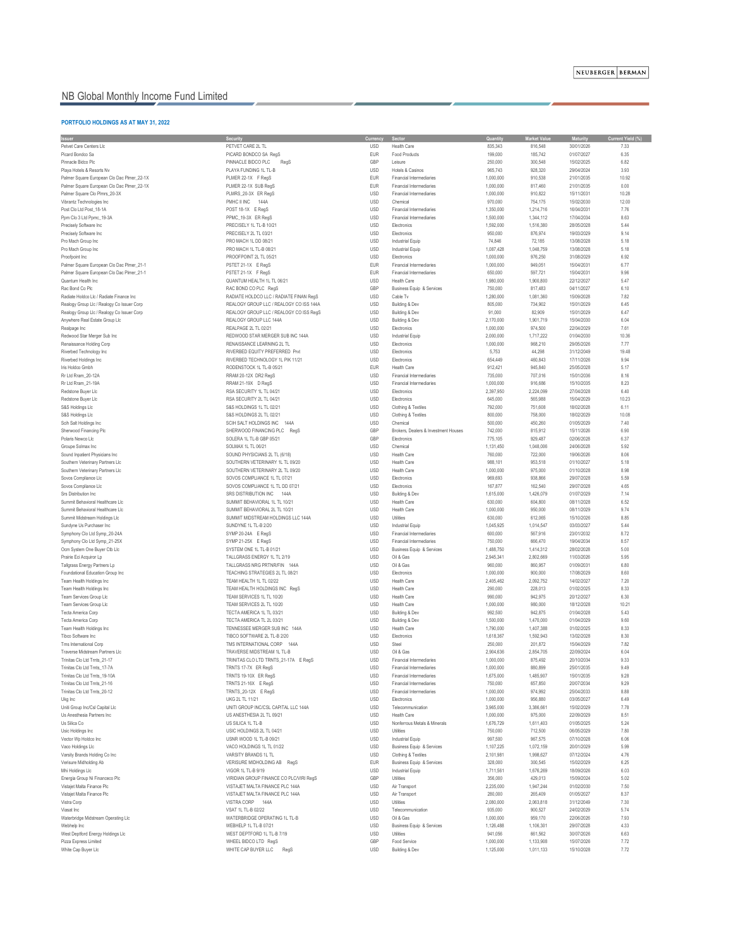## NB Global Monthly Income Fund Limited

### **PORTFOLIO HOLDINGS AS AT MAY 31, 2022**

| <b>Issuer</b>                                                      | <b>Security</b>                                                            | <b>Currency</b>          | <b>Sector</b>                                                      | <b>Quantity</b>        | <b>Market Value</b>  | <b>Maturity</b>          | <b>Current Yield (%)</b> |
|--------------------------------------------------------------------|----------------------------------------------------------------------------|--------------------------|--------------------------------------------------------------------|------------------------|----------------------|--------------------------|--------------------------|
| Petvet Care Centers Llc                                            | PETVET CARE 2L TL                                                          | <b>USD</b>               | <b>Health Care</b>                                                 | 835,343                | 816,548              | 30/01/2026               | 7.33                     |
| Picard Bondco Sa                                                   | PICARD BONDCO SA RegS                                                      | <b>EUR</b>               | <b>Food Products</b>                                               | 199,000                | 185,742              | 01/07/2027               | 6.35                     |
| Pinnacle Bidco Plc                                                 | PINNACLE BIDCO PLC<br>RegS                                                 | GBP                      | Leisure                                                            | 250,000                | 300,548              | 15/02/2025               | 6.82                     |
| Playa Hotels & Resorts Nv                                          | PLAYA FUNDING 1L TL-B                                                      | <b>USD</b>               | Hotels & Casinos                                                   | 965,743                | 928,320              | 29/04/2024               | 3.93                     |
| Palmer Square European Clo Dac Plmer_22-1X                         | PLMER 22-1X F RegS                                                         | <b>EUR</b>               | <b>Financial Intermediaries</b>                                    | 1,000,000              | 910,538              | 21/01/2035               | 10.92                    |
| Palmer Square European Clo Dac Plmer_22-1X                         | PLMER 22-1X SUB RegS                                                       | <b>EUR</b>               | <b>Financial Intermediaries</b>                                    | 1,000,000              | 817,460              | 21/01/2035               | 0.00                     |
| Palmer Square Clo Plmrs_20-3X                                      | PLMRS_20-3X ER RegS                                                        | <b>USD</b>               | <b>Financial Intermediaries</b>                                    | 1,000,000              | 910,822              | 15/11/2031               | 10.28                    |
| Vibrantz Technologies Inc<br>Post Clo Ltd Post_18-1A               | PMHC II INC<br>144A<br>POST 18-1X E RegS                                   | <b>USD</b><br><b>USD</b> | Chemical<br>Financial Intermediaries                               | 970,000<br>1,350,000   | 754,175<br>1,214,716 | 15/02/2030<br>16/04/2031 | 12.00<br>7.76            |
| Ppm Clo 3 Ltd Ppmc_19-3A                                           | PPMC_19-3X ER RegS                                                         | <b>USD</b>               | <b>Financial Intermediaries</b>                                    | 1,500,000              | 1,344,112            | 17/04/2034               | 8.63                     |
| Precisely Software Inc                                             | PRECISELY 1L TL-B 10/21                                                    | <b>USD</b>               | Electronics                                                        | 1,592,000              | 1,516,380            | 28/05/2028               | 5.44                     |
| Precisely Software Inc                                             | PRECISELY 2L TL 03/21                                                      | <b>USD</b>               | Electronics                                                        | 950,000                | 876,974              | 19/03/2029               | 9.14                     |
| Pro Mach Group Inc                                                 | PRO MACH 1L DD 08/21                                                       | <b>USD</b>               | <b>Industrial Equip</b>                                            | 74,846                 | 72,185               | 13/08/2028               | 5.18                     |
| Pro Mach Group Inc                                                 | PRO MACH 1L TL-B 08/21                                                     | <b>USD</b>               | <b>Industrial Equip</b>                                            | 1,087,428              | 1,048,759            | 13/08/2028               | 5.18                     |
| Proofpoint Inc                                                     | PROOFPOINT 2L TL 05/21                                                     | <b>USD</b>               | Electronics                                                        | 1,000,000              | 976,250              | 31/08/2029               | 6.92                     |
| Palmer Square European Clo Dac Plmer 21-1                          | PSTET 21-1X E RegS                                                         | <b>EUR</b>               | Financial Intermediaries                                           | 1,000,000              | 949,051              | 15/04/2031               | 6.77                     |
| Palmer Square European Clo Dac Plmer_21-1                          | PSTET 21-1X F RegS                                                         | <b>EUR</b>               | <b>Financial Intermediaries</b>                                    | 650,000                | 597,721              | 15/04/2031               | 9.96                     |
| Quantum Health Inc                                                 | QUANTUM HEALTH 1L TL 06/21                                                 | <b>USD</b>               | <b>Health Care</b>                                                 | 1,980,000              | 1,900,800            | 22/12/2027               | 5.47                     |
| Rac Bond Co Plc                                                    | RAC BOND CO PLC RegS                                                       | GBP                      | <b>Business Equip &amp; Services</b>                               | 750,000                | 817,483              | 04/11/2027               | 6.10                     |
| Radiate Holdco Llc / Radiate Finance Inc                           | RADIATE HOLDCO LLC / RADIATE FINAN RegS                                    | <b>USD</b>               | Cable Tv                                                           | 1,280,000              | 1,081,360            | 15/09/2028               | 7.82                     |
| Realogy Group Llc / Realogy Co Issuer Corp                         | REALOGY GROUP LLC / REALOGY CO ISS 144A                                    | <b>USD</b>               | <b>Building &amp; Dev</b>                                          | 805,000                | 734,902              | 15/01/2029               | 6.45                     |
| Realogy Group Llc / Realogy Co Issuer Corp                         | REALOGY GROUP LLC / REALOGY CO ISS RegS                                    | <b>USD</b>               | Building & Dev                                                     | 91,000                 | 82,909               | 15/01/2029               | 6.47                     |
| Anywhere Real Estate Group Llc                                     | REALOGY GROUP LLC 144A                                                     | <b>USD</b>               | <b>Building &amp; Dev</b>                                          | 2,170,000              | 1,901,719            | 15/04/2030               | 6.04                     |
| Realpage Inc                                                       | REALPAGE 2L TL 02/21                                                       | <b>USD</b>               | Electronics                                                        | 1,000,000              | 974,500              | 22/04/2029               | 7.61                     |
| Redwood Star Merger Sub Inc                                        | REDWOOD STAR MERGER SUB INC 144A<br>RENAISSANCE LEARNING 2L TL             | <b>USD</b><br><b>USD</b> | <b>Industrial Equip</b>                                            | 2,000,000              | 1,717,222            | 01/04/2030               | 10.36<br>7.77            |
| Renaissance Holding Corp<br>Riverbed Technology Inc                | RIVERBED EQUITY PREFERRED Prvt                                             | <b>USD</b>               | Electronics<br>Electronics                                         | 1,000,000<br>5,753     | 968,210<br>44,298    | 29/05/2026<br>31/12/2049 | 19.48                    |
| Riverbed Holdings Inc                                              | RIVERBED TECHNOLOGY 1L PIK 11/21                                           | <b>USD</b>               | Electronics                                                        | 654,449                | 460,843              | 17/11/2026               | 9.94                     |
| Iris Holdco Gmbh                                                   | RODENSTOCK 1L TL-B 05/21                                                   | <b>EUR</b>               | <b>Health Care</b>                                                 | 912,421                | 945,840              | 25/05/2028               | 5.17                     |
| Rr Ltd Rram_20-12A                                                 | RRAM 20-12X DR2 RegS                                                       | <b>USD</b>               | <b>Financial Intermediaries</b>                                    | 735,000                | 707,016              | 15/01/2036               | 8.16                     |
| Rr Ltd Rram 21-19A                                                 | RRAM 21-19X D RegS                                                         | <b>USD</b>               | <b>Financial Intermediaries</b>                                    | 1,000,000              | 916,686              | 15/10/2035               | 8.23                     |
| Redstone Buyer Llc                                                 | RSA SECURITY 1L TL 04/21                                                   | <b>USD</b>               | Electronics                                                        | 2,397,950              | 2,224,099            | 27/04/2028               | 6.40                     |
| Redstone Buyer Llc                                                 | RSA SECURITY 2L TL 04/21                                                   | <b>USD</b>               | Electronics                                                        | 645,000                | 565,988              | 15/04/2029               | 10.23                    |
| S&S Holdings Llc                                                   | S&S HOLDINGS 1L TL 02/21                                                   | <b>USD</b>               | Clothing & Textiles                                                | 792,000                | 751,608              | 18/02/2028               | 6.11                     |
| S&S Holdings Llc                                                   | S&S HOLDINGS 2L TL 02/21                                                   | <b>USD</b>               | Clothing & Textiles                                                | 800,000                | 758,000              | 18/02/2029               | 10.08                    |
| Scih Salt Holdings Inc                                             | SCIH SALT HOLDINGS INC<br>144A                                             | <b>USD</b>               | Chemical                                                           | 500,000                | 450,260              | 01/05/2029               | 7.40                     |
| Sherwood Financing Plc                                             | SHERWOOD FINANCING PLC<br>RegS                                             | GBP                      | Brokers, Dealers & Investment Houses                               | 742,000                | 815,912              | 15/11/2026               | 6.90                     |
| Polaris Newco Llc                                                  | SOLERA 1L TL-B GBP 05/21                                                   | GBP                      | Electronics                                                        | 775,105                | 929,487              | 02/06/2028               | 6.37                     |
| Groupe Solmax Inc                                                  | SOLMAX 1L TL 06/21                                                         | <b>USD</b><br><b>USD</b> | Chemical<br><b>Health Care</b>                                     | 1,131,450              | 1,048,006            | 24/06/2028               | 5.92<br>8.06             |
| Sound Inpatient Physicians Inc<br>Southern Veterinary Partners Llc | SOUND PHYSICIANS 2L TL (6/18)<br>SOUTHERN VETERINARY 1L TL 09/20           | <b>USD</b>               | <b>Health Care</b>                                                 | 760,000<br>988,101     | 722,000<br>953,518   | 19/06/2026<br>01/10/2027 | 5.18                     |
| Southern Veterinary Partners Llc                                   | SOUTHERN VETERINARY 2L TL 09/20                                            | <b>USD</b>               | <b>Health Care</b>                                                 | 1,000,000              | 975,000              | 01/10/2028               | 8.98                     |
| Sovos Compliance Llc                                               | SOVOS COMPLIANCE 1L TL 07/21                                               | <b>USD</b>               | Electronics                                                        | 969,693                | 938,866              | 29/07/2028               | 5.59                     |
| Sovos Compliance Llc                                               | SOVOS COMPLIANCE 1L TL DD 07/21                                            | <b>USD</b>               | Electronics                                                        | 167,877                | 162,540              | 29/07/2028               | 4.65                     |
| <b>Srs Distribution Inc.</b>                                       | SRS DISTRIBUTION INC<br>144A                                               | <b>USD</b>               | Building & Dev                                                     | 1,615,000              | 1,426,079            | 01/07/2029               | 7.14                     |
| Summit Behavioral Healthcare Llc                                   | SUMMIT BEHAVIORAL 1L TL 10/21                                              | <b>USD</b>               | <b>Health Care</b>                                                 | 630,000                | 604,800              | 08/11/2028               | 6.52                     |
| Summit Behavioral Healthcare Llc                                   | SUMMIT BEHAVIORAL 2L TL 10/21                                              | <b>USD</b>               | <b>Health Care</b>                                                 | 1,000,000              | 950,000              | 08/11/2029               | 9.74                     |
| Summit Midstream Holdings Llc                                      | SUMMIT MIDSTREAM HOLDINGS LLC 144A                                         | <b>USD</b>               | Utilities                                                          | 630,000                | 612,065              | 15/10/2026               | 8.85                     |
| Sundyne Us Purchaser Inc                                           | SUNDYNE 1L TL-B 2/20                                                       | <b>USD</b>               | <b>Industrial Equip</b>                                            | 1,045,925              | 1,014,547            | 03/03/2027               | 5.44                     |
| Symphony Clo Ltd Symp_20-24A                                       | SYMP 20-24A E RegS                                                         | <b>USD</b>               | <b>Financial Intermediaries</b>                                    | 600,000                | 567,916              | 23/01/2032               | 8.72                     |
| Symphony Clo Ltd Symp_21-25X                                       | SYMP 21-25X E RegS                                                         | <b>USD</b>               | <b>Financial Intermediaries</b>                                    | 750,000                | 666,470              | 19/04/2034               | 8.57                     |
| Ocm System One Buyer Ctb Llc                                       | SYSTEM ONE 1L TL-B 01/21                                                   | <b>USD</b>               | <b>Business Equip &amp; Services</b>                               | 1,488,750              | 1,414,312            | 28/02/2028               | 5.00                     |
| Prairie Eci Acquiror Lp<br>Tallgrass Energy Partners Lp            | TALLGRASS ENERGY 1L TL 2/19<br>TALLGRASS NRG PRTNR/FIN 144A                | <b>USD</b><br><b>USD</b> | Oil & Gas<br>Oil & Gas                                             | 2,945,341<br>960,000   | 2,802,669<br>860,957 | 11/03/2026<br>01/09/2031 | 5.95<br>6.80             |
| Foundational Education Group Inc                                   | TEACHING STRATEGIES 2L TL 08/21                                            | <b>USD</b>               | Electronics                                                        | 1,000,000              | 900,000              | 17/08/2029               | 8.60                     |
| Team Health Holdings Inc                                           | TEAM HEALTH 1L TL 02/22                                                    | <b>USD</b>               | <b>Health Care</b>                                                 | 2,405,462              | 2,092,752            | 14/02/2027               | 7.20                     |
| Team Health Holdings Inc                                           | TEAM HEALTH HOLDINGS INC RegS                                              | <b>USD</b>               | <b>Health Care</b>                                                 | 290,000                | 228,013              | 01/02/2025               | 8.33                     |
| Team Services Group Llc                                            | TEAM SERVICES 1L TL 10/20                                                  | <b>USD</b>               | <b>Health Care</b>                                                 | 990,000                | 942,975              | 20/12/2027               | 6.30                     |
| Team Services Group Llc                                            | TEAM SERVICES 2L TL 10/20                                                  | <b>USD</b>               | <b>Health Care</b>                                                 | 1,000,000              | 980,000              | 18/12/2028               | 10.21                    |
| Tecta America Corp                                                 | TECTA AMERICA 1L TL 03/21                                                  | <b>USD</b>               | <b>Building &amp; Dev</b>                                          | 992,500                | 942,875              | 01/04/2028               | 5.43                     |
| Tecta America Corp                                                 | TECTA AMERICA TL 2L 03/21                                                  | <b>USD</b>               | <b>Building &amp; Dev</b>                                          | 1,500,000              | 1,470,000            | 01/04/2029               | 9.60                     |
| Team Health Holdings Inc                                           | TENNESSEE MERGER SUB INC 144A                                              | <b>USD</b>               | <b>Health Care</b>                                                 | 1,790,000              | 1,407,388            | 01/02/2025               | 8.33                     |
| Tibco Software Inc                                                 | TIBCO SOFTWARE 2L TL-B 2/20                                                | <b>USD</b>               | Electronics                                                        | 1,618,367              | 1,592,943            | 13/02/2028               | 8.30                     |
| Tms International Corp                                             | TMS INTERNATIONAL CORP<br>144A                                             | <b>USD</b>               | Steel                                                              | 250,000                | 201,872              | 15/04/2029               | 7.82                     |
| Traverse Midstream Partners Llc                                    | TRAVERSE MIDSTREAM 1L TL-B                                                 | <b>USD</b>               | Oil & Gas                                                          | 2,904,636              | 2,854,705            | 22/09/2024               | 6.04                     |
| Trinitas Clo Ltd Trnts_21-17                                       | TRINITAS CLO LTD TRNTS_21-17A E RegS                                       | <b>USD</b>               | <b>Financial Intermediaries</b>                                    | 1,000,000              | 875,492              | 20/10/2034               | 9.33                     |
| Trinitas Clo Ltd Trnts_17-7A<br>Trinitas Clo Ltd Trnts_19-10A      | TRNTS 17-7X ER RegS<br>TRNTS 19-10X ER RegS                                | <b>USD</b><br><b>USD</b> | <b>Financial Intermediaries</b><br><b>Financial Intermediaries</b> | 1,000,000<br>1,675,000 | 880,899<br>1,485,907 | 25/01/2035<br>15/01/2035 | 9.49<br>9.28             |
| Trinitas Clo Ltd Trnts_21-16                                       | TRNTS 21-16X E RegS                                                        | <b>USD</b>               | <b>Financial Intermediaries</b>                                    | 750,000                | 657,850              | 20/07/2034               | 9.29                     |
| Trinitas Clo Ltd Trnts_20-12                                       | TRNTS_20-12X E RegS                                                        | <b>USD</b>               | <b>Financial Intermediaries</b>                                    | 1,000,000              | 974,992              | 25/04/2033               | 8.88                     |
| Ukg Inc                                                            | <b>UKG 2L TL 11/21</b>                                                     | <b>USD</b>               | Electronics                                                        | 1,000,000              | 956,880              | 03/05/2027               | 6.49                     |
| Uniti Group Inc/Csl Capital Llc                                    | UNITI GROUP INC/CSL CAPITAL LLC 144A                                       | <b>USD</b>               | Telecommunication                                                  | 3,965,000              | 3,386,661            | 15/02/2029               | 7.78                     |
| Us Anesthesia Partners Inc                                         | US ANESTHESIA 2L TL 09/21                                                  | <b>USD</b>               | <b>Health Care</b>                                                 | 1,000,000              | 975,000              | 22/09/2029               | 8.51                     |
| Us Silica Co                                                       | US SILICA 1L TL-B                                                          | <b>USD</b>               | Nonferrous Metals & Minerals                                       | 1,676,729              | 1,611,403            | 01/05/2025               | 5.24                     |
| Usic Holdings Inc                                                  | USIC HOLDINGS 2L TL 04/21                                                  | <b>USD</b>               | Utilities                                                          | 750,000                | 712,500              | 06/05/2029               | 7.80                     |
| Vector Wp Holdco Inc                                               | USNR WOOD 1L TL-B 09/21                                                    | <b>USD</b>               | Industrial Equip                                                   | 997,500                | 967,575              | 07/10/2028               | 6.06                     |
| Vaco Holdings Llc                                                  | VACO HOLDINGS 1L TL 01/22                                                  | <b>USD</b>               | <b>Business Equip &amp; Services</b>                               | 1,107,225              | 1,072,159            | 20/01/2029               | 5.99                     |
| Varsity Brands Holding Co Inc                                      | VARSITY BRANDS 1L TL                                                       | <b>USD</b>               | Clothing & Textiles                                                | 2,101,981              | 1,998,627            | 07/12/2024               | 4.76                     |
| Verisure Midholding Ab                                             | VERISURE MIDHOLDING AB RegS                                                | <b>EUR</b>               | <b>Business Equip &amp; Services</b>                               | 328,000                | 300,545              | 15/02/2029               | 6.25                     |
| Mhi Holdings Llc                                                   | VIGOR 1L TL-B 9/19                                                         | <b>USD</b>               | <b>Industrial Equip</b>                                            | 1,711,561              | 1,676,269            | 18/09/2026               | 6.03<br>5.02             |
| Energia Group Ni Financeco Plc<br>Vistajet Malta Finance Plc       | VIRIDIAN GROUP FINANCE CO PLC/VIRI RegS<br>VISTAJET MALTA FINANCE PLC 144A | GBP<br><b>USD</b>        | Utilities<br>Air Transport                                         | 356,000<br>2,235,000   | 429,013<br>1,947,244 | 15/09/2024<br>01/02/2030 | 7.50                     |
| Vistajet Malta Finance Plc                                         | VISTAJET MALTA FINANCE PLC 144A                                            | <b>USD</b>               | Air Transport                                                      | 280,000                | 265,409              | 01/05/2027               | 8.37                     |
| Vistra Corp                                                        | VISTRA CORP<br>144A                                                        | <b>USD</b>               | <b>Utilities</b>                                                   | 2,080,000              | 2,063,818            | 31/12/2049               | 7.30                     |
| Viasat Inc                                                         | VSAT 1L TL-B 02/22                                                         | <b>USD</b>               | Telecommunication                                                  | 935,000                | 900,527              | 24/02/2029               | 5.74                     |
| Waterbridge Midstream Operating Llc                                | WATERBRIDGE OPERATING 1L TL-B                                              | <b>USD</b>               | Oil & Gas                                                          | 1,000,000              | 959,170              | 22/06/2026               | 7.93                     |
| Webhelp Inc                                                        | WEBHELP 1L TL-B 07/21                                                      | <b>USD</b>               | <b>Business Equip &amp; Services</b>                               | 1,126,488              | 1,106,301            | 29/07/2028               | 4.33                     |
| West Deptford Energy Holdings Llc                                  | WEST DEPTFORD 1L TL-B 7/19                                                 | <b>USD</b>               | Utilities                                                          | 941,056                | 661,562              | 30/07/2026               | 6.63                     |
| Pizza Express Limited                                              | WHEEL BIDCO LTD RegS                                                       | GBP                      | Food Service                                                       | 1,000,000              | 1,133,908            | 15/07/2026               | 7.72                     |
| White Cap Buyer Llc                                                | WHITE CAP BUYER LLC<br>RegS                                                | <b>USD</b>               | <b>Building &amp; Dev</b>                                          | 1,125,000              | 1,011,133            | 15/10/2028               | 7.72                     |